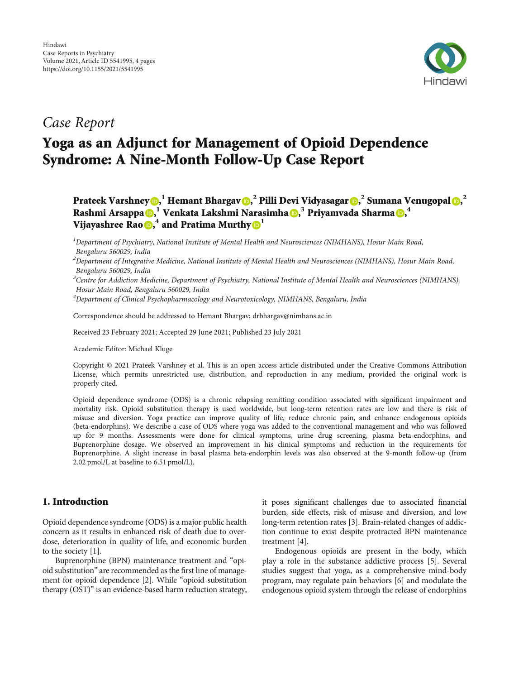

## Case Report

# Yoga as an Adjunct for Management of Opioid Dependence Syndrome: A Nine-Month Follow-Up Case Report

### Prateek Varshney **D[,](https://orcid.org/0000-0003-1718-6246)**  $^1$  **Hemant Bhargav D,**  $^2$  **Pilli Devi Vidyasagar D,**  $^2$  **Sumana Venugopal D,**  $^2$ Rashmi Arsappa **D**[,](https://orcid.org/0000-0001-6024-0055)<sup>1</sup> Venkata Lakshmi Narasimha D,<sup>3</sup> Priyamvada Sharma D,<sup>4</sup> Vijayashree Rao **6**,<sup>4</sup> and Pratima Murthy **<sup>1</sup>**

<sup>1</sup>Department of Psychiatry, National Institute of Mental Health and Neurosciences (NIMHANS), Hosur Main Road, Bengaluru 560029, India

 $^2$ Department of Integrative Medicine, National Institute of Mental Health and Neurosciences (NIMHANS), Hosur Main Road, Bengaluru 560029, India

<sup>3</sup>Centre for Addiction Medicine, Department of Psychiatry, National Institute of Mental Health and Neurosciences (NIMHANS), Hosur Main Road, Bengaluru 560029, India

4 Department of Clinical Psychopharmacology and Neurotoxicology, NIMHANS, Bengaluru, India

Correspondence should be addressed to Hemant Bhargav; drbhargav@nimhans.ac.in

Received 23 February 2021; Accepted 29 June 2021; Published 23 July 2021

Academic Editor: Michael Kluge

Copyright © 2021 Prateek Varshney et al. This is an open access article distributed under the [Creative Commons Attribution](https://creativecommons.org/licenses/by/4.0/) [License,](https://creativecommons.org/licenses/by/4.0/) which permits unrestricted use, distribution, and reproduction in any medium, provided the original work is properly cited.

Opioid dependence syndrome (ODS) is a chronic relapsing remitting condition associated with significant impairment and mortality risk. Opioid substitution therapy is used worldwide, but long-term retention rates are low and there is risk of misuse and diversion. Yoga practice can improve quality of life, reduce chronic pain, and enhance endogenous opioids (beta-endorphins). We describe a case of ODS where yoga was added to the conventional management and who was followed up for 9 months. Assessments were done for clinical symptoms, urine drug screening, plasma beta-endorphins, and Buprenorphine dosage. We observed an improvement in his clinical symptoms and reduction in the requirements for Buprenorphine. A slight increase in basal plasma beta-endorphin levels was also observed at the 9-month follow-up (from 2.02 pmol/L at baseline to 6.51 pmol/L).

#### 1. Introduction

Opioid dependence syndrome (ODS) is a major public health concern as it results in enhanced risk of death due to overdose, deterioration in quality of life, and economic burden to the society [\[1](#page-2-0)].

Buprenorphine (BPN) maintenance treatment and "opioid substitution" are recommended as the first line of management for opioid dependence [[2\]](#page-2-0). While "opioid substitution therapy (OST)" is an evidence-based harm reduction strategy, it poses significant challenges due to associated financial burden, side effects, risk of misuse and diversion, and low long-term retention rates [\[3\]](#page-2-0). Brain-related changes of addiction continue to exist despite protracted BPN maintenance treatment [\[4](#page-2-0)].

Endogenous opioids are present in the body, which play a role in the substance addictive process [\[5\]](#page-3-0). Several studies suggest that yoga, as a comprehensive mind-body program, may regulate pain behaviors [\[6\]](#page-3-0) and modulate the endogenous opioid system through the release of endorphins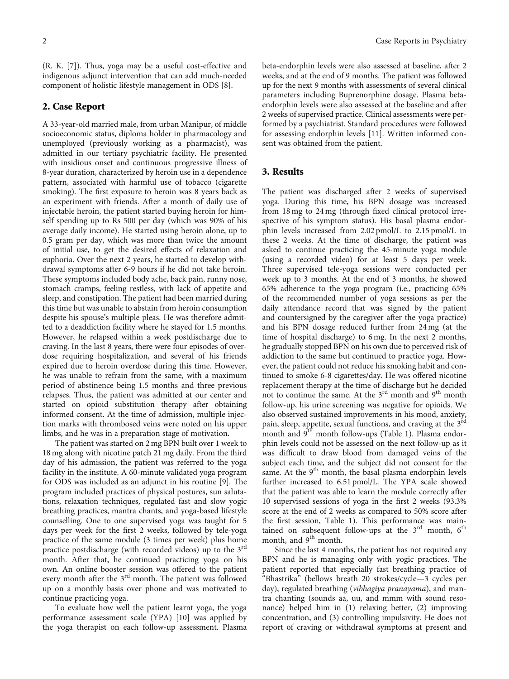(R. K. [\[7](#page-3-0)]). Thus, yoga may be a useful cost-effective and indigenous adjunct intervention that can add much-needed component of holistic lifestyle management in ODS [\[8\]](#page-3-0).

#### 2. Case Report

A 33-year-old married male, from urban Manipur, of middle socioeconomic status, diploma holder in pharmacology and unemployed (previously working as a pharmacist), was admitted in our tertiary psychiatric facility. He presented with insidious onset and continuous progressive illness of 8-year duration, characterized by heroin use in a dependence pattern, associated with harmful use of tobacco (cigarette smoking). The first exposure to heroin was 8 years back as an experiment with friends. After a month of daily use of injectable heroin, the patient started buying heroin for himself spending up to Rs 500 per day (which was 90% of his average daily income). He started using heroin alone, up to 0.5 gram per day, which was more than twice the amount of initial use, to get the desired effects of relaxation and euphoria. Over the next 2 years, he started to develop withdrawal symptoms after 6-9 hours if he did not take heroin. These symptoms included body ache, back pain, runny nose, stomach cramps, feeling restless, with lack of appetite and sleep, and constipation. The patient had been married during this time but was unable to abstain from heroin consumption despite his spouse's multiple pleas. He was therefore admitted to a deaddiction facility where he stayed for 1.5 months. However, he relapsed within a week postdischarge due to craving. In the last 8 years, there were four episodes of overdose requiring hospitalization, and several of his friends expired due to heroin overdose during this time. However, he was unable to refrain from the same, with a maximum period of abstinence being 1.5 months and three previous relapses. Thus, the patient was admitted at our center and started on opioid substitution therapy after obtaining informed consent. At the time of admission, multiple injection marks with thrombosed veins were noted on his upper limbs, and he was in a preparation stage of motivation.

The patient was started on 2 mg BPN built over 1 week to 18 mg along with nicotine patch 21 mg daily. From the third day of his admission, the patient was referred to the yoga facility in the institute. A 60-minute validated yoga program for ODS was included as an adjunct in his routine [[9\]](#page-3-0). The program included practices of physical postures, sun salutations, relaxation techniques, regulated fast and slow yogic breathing practices, mantra chants, and yoga-based lifestyle counselling. One to one supervised yoga was taught for 5 days per week for the first 2 weeks, followed by tele-yoga practice of the same module (3 times per week) plus home practice postdischarge (with recorded videos) up to the  $3<sup>rd</sup>$ month. After that, he continued practicing yoga on his own. An online booster session was offered to the patient every month after the 3<sup>rd</sup> month. The patient was followed up on a monthly basis over phone and was motivated to continue practicing yoga.

To evaluate how well the patient learnt yoga, the yoga performance assessment scale (YPA) [[10](#page-3-0)] was applied by the yoga therapist on each follow-up assessment. Plasma beta-endorphin levels were also assessed at baseline, after 2 weeks, and at the end of 9 months. The patient was followed up for the next 9 months with assessments of several clinical parameters including Buprenorphine dosage. Plasma betaendorphin levels were also assessed at the baseline and after 2 weeks of supervised practice. Clinical assessments were performed by a psychiatrist. Standard procedures were followed for assessing endorphin levels [\[11\]](#page-3-0). Written informed consent was obtained from the patient.

#### 3. Results

The patient was discharged after 2 weeks of supervised yoga. During this time, his BPN dosage was increased from 18 mg to 24 mg (through fixed clinical protocol irrespective of his symptom status). His basal plasma endorphin levels increased from 2.02 pmol/L to 2.15 pmol/L in these 2 weeks. At the time of discharge, the patient was asked to continue practicing the 45-minute yoga module (using a recorded video) for at least 5 days per week. Three supervised tele-yoga sessions were conducted per week up to 3 months. At the end of 3 months, he showed 65% adherence to the yoga program (i.e., practicing 65% of the recommended number of yoga sessions as per the daily attendance record that was signed by the patient and countersigned by the caregiver after the yoga practice) and his BPN dosage reduced further from 24 mg (at the time of hospital discharge) to 6 mg. In the next 2 months, he gradually stopped BPN on his own due to perceived risk of addiction to the same but continued to practice yoga. However, the patient could not reduce his smoking habit and continued to smoke 6-8 cigarettes/day. He was offered nicotine replacement therapy at the time of discharge but he decided not to continue the same. At the  $3<sup>rd</sup>$  month and  $9<sup>th</sup>$  month follow-up, his urine screening was negative for opioids. We also observed sustained improvements in his mood, anxiety, pain, sleep, appetite, sexual functions, and craving at the 3<sup>rd</sup> month and 9<sup>th</sup> month follow-ups (Table [1\)](#page-2-0). Plasma endorphin levels could not be assessed on the next follow-up as it was difficult to draw blood from damaged veins of the subject each time, and the subject did not consent for the same. At the  $9<sup>th</sup>$  month, the basal plasma endorphin levels further increased to 6.51 pmol/L. The YPA scale showed that the patient was able to learn the module correctly after 10 supervised sessions of yoga in the first 2 weeks (93.3% score at the end of 2 weeks as compared to 50% score after the first session, Table [1\)](#page-2-0). This performance was maintained on subsequent follow-ups at the  $3<sup>rd</sup>$  month,  $6<sup>th</sup>$ month, and  $9<sup>th</sup>$  month.

Since the last 4 months, the patient has not required any BPN and he is managing only with yogic practices. The patient reported that especially fast breathing practice of "Bhastrika" (bellows breath 20 strokes/cycle—3 cycles per day), regulated breathing (vibhagiya pranayama), and mantra chanting (sounds aa, uu, and mmm with sound resonance) helped him in (1) relaxing better, (2) improving concentration, and (3) controlling impulsivity. He does not report of craving or withdrawal symptoms at present and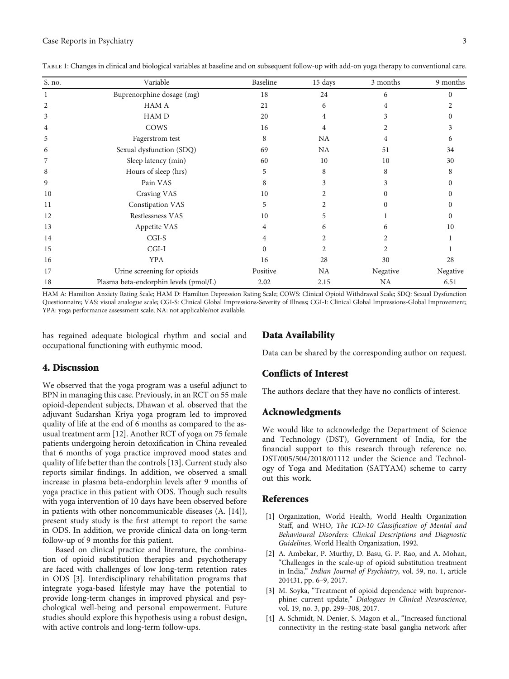| S. no.         | Variable                              | Baseline | 15 days       | 3 months  | 9 months |
|----------------|---------------------------------------|----------|---------------|-----------|----------|
| 1              | Buprenorphine dosage (mg)             | 18       | 24            | 6         | $\Omega$ |
| $\overline{2}$ | <b>HAM A</b>                          | 21       | 6             | 4         |          |
| 3              | HAM D                                 | 20       | 4             | 3         |          |
| 4              | COWS                                  | 16       | 4             |           |          |
| 5              | Fagerstrom test                       | 8        | <b>NA</b>     | 4         | 6        |
| 6              | Sexual dysfunction (SDQ)              | 69       | NA            | 51        | 34       |
| 7              | Sleep latency (min)                   | 60       | 10            | 10        | 30       |
| 8              | Hours of sleep (hrs)                  | 5        | 8             | 8         |          |
| 9              | Pain VAS                              | 8        | 3             | 3         |          |
| 10             | Craving VAS                           | 10       |               | $\Omega$  |          |
| 11             | Constipation VAS                      | 5        |               | $\Omega$  |          |
| 12             | Restlessness VAS                      | 10       | $\mathcal{L}$ |           |          |
| 13             | Appetite VAS                          | 4        | 6             | 6         | 10       |
| 14             | $CGI-S$                               | 4        |               | 2         |          |
| 15             | $CGI-I$                               | $\Omega$ | 2             | 2         |          |
| 16             | <b>YPA</b>                            | 16       | 28            | 30        | 28       |
| 17             | Urine screening for opioids           | Positive | <b>NA</b>     | Negative  | Negative |
| 18             | Plasma beta-endorphin levels (pmol/L) | 2.02     | 2.15          | <b>NA</b> | 6.51     |

<span id="page-2-0"></span>Table 1: Changes in clinical and biological variables at baseline and on subsequent follow-up with add-on yoga therapy to conventional care.

HAM A: Hamilton Anxiety Rating Scale; HAM D: Hamilton Depression Rating Scale; COWS: Clinical Opioid Withdrawal Scale; SDQ: Sexual Dysfunction Questionnaire; VAS: visual analogue scale; CGI-S: Clinical Global Impressions-Severity of Illness; CGI-I: Clinical Global Impressions-Global Improvement; YPA: yoga performance assessment scale; NA: not applicable/not available.

has regained adequate biological rhythm and social and occupational functioning with euthymic mood.

#### 4. Discussion

We observed that the yoga program was a useful adjunct to BPN in managing this case. Previously, in an RCT on 55 male opioid-dependent subjects, Dhawan et al. observed that the adjuvant Sudarshan Kriya yoga program led to improved quality of life at the end of 6 months as compared to the asusual treatment arm [[12](#page-3-0)]. Another RCT of yoga on 75 female patients undergoing heroin detoxification in China revealed that 6 months of yoga practice improved mood states and quality of life better than the controls [[13\]](#page-3-0). Current study also reports similar findings. In addition, we observed a small increase in plasma beta-endorphin levels after 9 months of yoga practice in this patient with ODS. Though such results with yoga intervention of 10 days have been observed before in patients with other noncommunicable diseases (A. [\[14\]](#page-3-0)), present study study is the first attempt to report the same in ODS. In addition, we provide clinical data on long-term follow-up of 9 months for this patient.

Based on clinical practice and literature, the combination of opioid substitution therapies and psychotherapy are faced with challenges of low long-term retention rates in ODS [3]. Interdisciplinary rehabilitation programs that integrate yoga-based lifestyle may have the potential to provide long-term changes in improved physical and psychological well-being and personal empowerment. Future studies should explore this hypothesis using a robust design, with active controls and long-term follow-ups.

#### Data Availability

Data can be shared by the corresponding author on request.

#### Conflicts of Interest

The authors declare that they have no conflicts of interest.

#### Acknowledgments

We would like to acknowledge the Department of Science and Technology (DST), Government of India, for the financial support to this research through reference no. DST/005/504/2018/01112 under the Science and Technology of Yoga and Meditation (SATYAM) scheme to carry out this work.

#### References

- [1] Organization, World Health, World Health Organization Staff, and WHO, The ICD-10 Classification of Mental and Behavioural Disorders: Clinical Descriptions and Diagnostic Guidelines, World Health Organization, 1992.
- [2] A. Ambekar, P. Murthy, D. Basu, G. P. Rao, and A. Mohan, "Challenges in the scale-up of opioid substitution treatment in India," Indian Journal of Psychiatry, vol. 59, no. 1, article 204431, pp. 6–9, 2017.
- [3] M. Soyka, "Treatment of opioid dependence with buprenorphine: current update," Dialogues in Clinical Neuroscience, vol. 19, no. 3, pp. 299–308, 2017.
- [4] A. Schmidt, N. Denier, S. Magon et al., "Increased functional connectivity in the resting-state basal ganglia network after